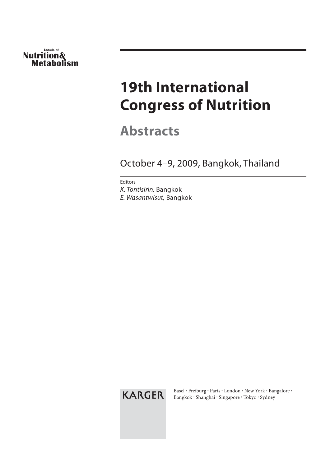# **Annals of Nutrition& Metabolism**

# **19th International Congress of Nutrition**

**Abstracts**

October 4–9, 2009, Bangkok, Thailand

Editors K. Tontisirin, Bangkok E. Wasantwisut, Bangkok

KARGER

Basel · Freiburg · Paris · London · New York · Bangalore · Bangkok · Shanghai · Singapore · Tokyo · Sydney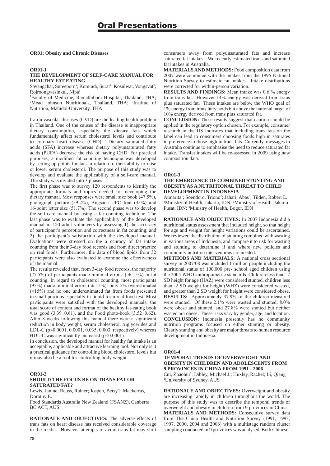#### **OR01: Obesity and Chronic Diseases**

#### **OR01-1**

#### **THE DEVELOPMENT OF SELF-CARE MANUAL FOR HEALTHY FAT EATING**

Savangchat, Sureeporn<sup>1</sup>; Komindr, Surat<sup>1</sup>; Kosulwat, Vongsvat<sup>2</sup>; Rojroongwasinkul, Nipa

1 Faculty of Medicine, Ramathibodi Hospital, Thailand, THA; <sup>2</sup>Mead johnson Nutritionals, Thailand, THA; <sup>3</sup>Institue of Nutrition, Mahidol University, THA

Cardiovascular diseases (CVD) are the leading health problem in Thailand. One of the causes of the disease is inappropriate dietary consumption, especially the dietary fats which fundamentally affect serum cholesterol levels and contribute to coronary heart disease (CHD). Dietary saturated fatty acids (SFA) increase whereas dietary polyunsaturated fatty acids (PUFA) decrease the risk of having CHD. For practical purposes, a modified fat counting technique was developed by setting up points for fats in relation to their ability to raise or lower serum cholesterol. The purpose of this study was to develop and evaluate the applicability of a self-care manual. The study was divided into  $\overline{3}$  phases:

The first phase was to survey 120 respondents to identify the appropriate formats and topics needed for developing the dietary manual. Most responses were small size book  $(47.5\%)$ , photograph picture (59.2%), Angsana UPC font (35%) and 16-point letter size  $(51.7\%)$ . The second phase was to develop the self-care manual by using a fat counting technique. The last phase was to evaluate the applicability of the developed manual in 120 adult volunteers by assessing-1) the accuracy of participant's perception and correctness in fat counting; and 2) the participant's satisfaction with the developed manual. Evaluations were stressed on the a ccuracy of fat intake counting from their 3-day food records and from direct practice on real foods. Furthermore, the data of blood lipids from 32 participants were also evaluated to examine the effectiveness of the manual.

The results revealed that, from 3-day food records, the majority (77.5%) of participants made minimal errors:  $( \pm 15\%)$  in fat counting. In regard to cholesterol counting, most participants (95%) made minimal errors ( $\pm$  15%): only 5% overestimated  $(>15%)$  and no one underestimated fat from foods presented in small portions especially in liquid form real food test. Most participants were satisfied with the developed manuals, the total score of content and format of the healthy fat-eating book was good  $(3.39\pm0.61)$ , and the Food photo-book  $(3.52\pm0.62)$ . After  $8$  weeks following this manual there were a significant reduction in body weight, serum cholesterol, triglycerides and LDL-C (p<0.0001, 0.0001, 0.035, 0.003, respectively) whereas HDL-C was significantly increased  $(p<0.0001)$ .

In conclusion, the developed manual for healthy fat intake is an acceptable, applicable and attractive learning tool. Not only is it a practical guidance for controlling blood cholesterol levels but it may also be a tool for controlling body weight.

#### **OR01-2**

#### **SHOULD THE FOCUS BE ON TRANS FAT OR SATURATED FAT?**

Lewis, Janine; Reuss, Rainer; Jospeh, Betsy1; Mackerras, Dorothy E.

Food Standards Australia New Zealand (FSANZ), Canberra BC ACT, AUS

**RATIONALE AND OBJECTIVES:** The adverse effects of trans fats on heart disease has received considerable coverage in the media. However attempts to avoid trans fat may shift **MATERIALSAND METHODS:** Food composition data from 2007 were combined with the intakes from the 1995 National Nutrition Survey to estimate fat intakes. Intake distributions were corrected for within-person variation.

**RESULTS** AND **FINDINGS:** Mean intake was 0.6 % energy from trans fat. However 14% energy was derived from trans plus saturated fat. These intakes are below the WHO goal of  $1\%$  energy from trans fatty acids but above the national target of 10% energy derived from trans plus saturated fat.

**CONCLUSION:** These results suggest that caution should be applied in the regulatory option chosen. For example, consumer research in the US indicates that including trans fats on the label can lead to consumers choosing foods high in saturates in preference to those high in trans fats. Currently, messages in Australia continue to emphasise the need to reduce saturated fat intake. Transfat intakes will be re-assessed in 2009 using new composition data.

#### **OR01-3**

#### **THE EMERGENCE OF COMBINED STUNTING AND OBESITY AS A NUTRITIONAL THREAT TO CHILD DEVELOPMENT IN INDONESIA**

Atmarita<sup>1</sup>; Soendoro, Triono<sup>2</sup>; Jahari, Abas<sup>3</sup>; Tilden, Robert L.<sup>1</sup> <sup>1</sup>Ministry of Health, Jakarta, IDN; <sup>2</sup>Ministry of Health, Jakarta Pusat, IDN; Ministry of Health, Bogor, IDN

**RATIONALE AND OBJECTIVES:** In 2007 Indonesia did a nutritional status assessment that included height, so that height for age and weight for height variations could be ascertained. We reviewed the distribution of stunting combined with wasting in various areas of Indonesia, and compare it to risk for wasting and stunting to determine if and where new policies and community nutrition interventions are needed.

**METHODS AND MATERIALS:** A national cross sectional survey in  $2007/08$  was included 1 million people including the nutritional status of 100,000 pre- school aged children using the 2005 WHO anthropometric standards. Children less than -2 SD height for age (HAZ) were considered stunted, children less than -2 SD weight for height (WHZ) were considered wasted, and greater than 2 SD weight for height were considered obese. **RESULTS:** Approximately 37.9% of the children measured were stunted. Of these  $2.1\%$  were wasted and stunted,  $8.0\%$ were obese and stunted, and 27.8% were stunted but neither wasted nor obese. These risks vary by gender, age, and location. **CONCLUSION:** Indonesia presently has no community nutrition programs focused on either stunting or obesity. Clearly stunting and obesity are major threats to human resource development in Indonesia.

**OR01-4**

### **TEMPORAL TRENDS OF OVERWEIGHT AND OBESITY IN CHILDREN AND ADOLESCENTS FROM 9 PROVINCES IN CHINA FROM 1991 - 2006**

Cui, Zhaohui<sup>1</sup>; Dibley, Michael J.; Huxley, Rachel; Li, Qiang 1 University of Sydney, AUS

**RATIONALE AND OBJECTIVES:** Overweight and obesity are increasing rapidly in children throughout the world. The purpose of this study was to describe the temporal trends of overweight and obesity in children from 9 provinces in China. **MATERIALS AND METHODS:** Consecutive survey data from The China Health and Nutrition Survey (1991, 1993, 1997, 2000, 2004 and 2006) with a multistage random cluster sampling conducted in 9 provinces was analysed. Both Chinese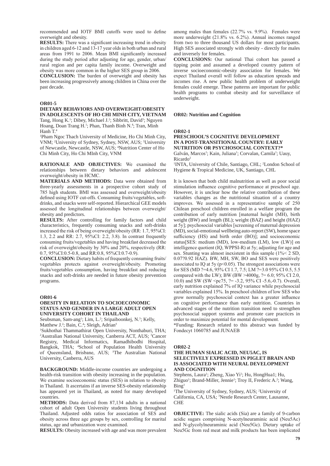recommended and IOTF BMI cutoffs were used to define overweight and obesity.

**RESULTS:** There was a significant increasing trend in obesity in children aged  $6-12$  and  $13-17$  vear olds in both urban and rural areas from 1991 to 2006. Mean BMI significantly increased during the study period after adjusting for age, gender, urban/ rural region and per capita family income. Overweight and obesity was more common in the higher SES group in 2006.

**CONCLUSION:** The burden of overweight and obesity has been increasing progressively among children in China over the past decade.

#### **OR01-5**

#### **DIETARY BEHAVIORS AND OVERWEIGHT/OBESITY IN ADOLESCENTS OF HO CHI MINH CITY, VIETNAM**

Tang, Hong K.<sup>1</sup>; Dibey, Michael J.<sup>2</sup>; Sibbritt, David<sup>3</sup>; Nguyen Hoang, Doan Trang H.<sup>1</sup>; Phan, Thanh Binh N.<sup>4</sup>; Tran, Minh Hanh T. 4

1 Pham Ngoc Thach University of Medicine, Ho Chi Minh City, VNM; <sup>2</sup>University of Sydney, Sydney, NSW, AUS; <sup>3</sup>University of Newcastle, Newcastle, NSW, AUS; <sup>4</sup> Nutrition Center of Ho Chi Minh City, Ho Chi MInh City, VNM

**RATIONALE AND OBJECTIVES:** We examined the relationships between dietary behaviors and adolescent overweight/obesity in HCMC.

**MATERIALS AND METHODS:** Data were obtained from three-yearly assessments in a prospective cohort study of 785 high students. BMI was assessed and overweight/obesity defined using IOTF cut-offs. Consuming fruits/vegetables, softdrinks, and snacks were self-reported. Hierarchical GEE models assessed the longitudinal relationships between overweight/ obesity and predictors.

**RESULTS:** After controlling for family factors and child characteristics, frequently consuming snacks and soft-drinks increased the risk of being overweight/obesity (RR:  $1.7$ ,  $95\%$ CI: 1.3, 2.2 and RR: 2.7, 95%CI: 2.2, 3.8). In contrast frequently consuming fruits/vegetables and having breakfast decreased the risk of overweight/obesity by 30% and 20%, respectively (RR: 0.7, 95%CI:0.5-0.8, and RR:0.8, 95%CI:0.7-0.9).

**CONCLUSION:** Dietary habits of frequently consuming fruits/ vegetables protects against overweight/obesity. Promoting fruits/vegetables consumption, having breakfast and reducing snacks and soft-drinks are needed in future obesity prevention programs.

#### **OR01-6**

#### **OBESITY IN RELATION TO SOCIOECONOMIC STATUS AND GENDER IN A LARGE ADULT OPEN UNIVERSITY COHORT IN THAILAND**

Seubsman, Sam-ang<sup>1</sup>; Lim, L.<sup>2</sup>; Sripaiboonkej, N.<sup>3</sup>; Kelly, Matthew J.<sup>2</sup>; Bain, C.<sup>4</sup>; Sleigh, Adrian<sup>5</sup>

1 Sukhothai Thammathirat Open University, Nonthaburi, THA; <sup>2</sup>Australian National University, Canberra ACT, AUS; <sup>3</sup>Cancer Registry, Medical Informatics, Ramadhibodhi Hospital, Bangkok, THA; <sup>4</sup>School of Population Health University of Queensland, Brisbane, AUS; <sup>5</sup>The Australian National University, Canberra, AUS

**BACKGROUND:** Middle-income countries are undergoing a health-risk transition with obesity increasing in the population. We examine socioeconomic status (SES) in relation to obesity in Thailand. It ascertains if an inverse SES-obesity relationship has appeared yet in Thailand, as noted for many developed countries.

**METHODS:** Data derived from 87,134 adults in a national cohort of adult Open University students living throughout Thailand. Adjusted odds ratios for association of SES and obesity across three age groups by sex, controlling for marital status, age and urbanization were examined.

**RESULTS:** Obesity increased with age and was more prevalent

among males than females  $(22.7\%$  vs.  $9.9\%)$ . Females were more underweight  $(21.8\%$  vs. 6.2%). Annual incomes ranged from two to three thousand US dollars for most participants. High SES associated strongly with obesity - directly for males and inversely for females.

**CONCLUSIONS:** Our national Thai cohort has passed a tipping point and assumed a developed country pattern of inverse socioeconomic-obesity association for females. We expect Thailand overall will follow as education spreads and incomes rise. A new public health problem of underweight females could emerge. These patterns are important for public health programs to combat obesity and for surveillance of underweight.

#### **OR02: Nutrition and Cognition**

#### **OR02-1**

#### **PRESCHOOL'S COGNITIVE DEVELOPMENT IN A POST-TRANSITIONAL COUNTRY: EARLY NUTRITION OR PSYCHOSOCIAL CONTEXT?\*** Galván, Marcos<sup>1</sup>; Kain, Juliana<sup>1</sup>; Corvalan, Camila<sup>1</sup>; Uauy,

Ricardo2

<sup>1</sup>INTA, University of Chile, Santiago, CHL; <sup>2</sup>London School of Hygiene & Tropical Medicine, UK, Santiago, CHL

It is known that both child malnutrition as well as poor social stimulation influence cognitive performance at preschool age. However, it is unclear how the relative contribution of these variables changes as the nutritional situation of a country improves. We assessed in a representative sample of 250 Chilean preschool children enrolled in a welfare program the contribution of early nutrition [maternal height (MH), birth weight (BW) and length (BL); weight (BAZ) and height (HAZ) at  $5y$ ; psychosocial variables [screening of maternal depression (MD),social-emotional wellbeing auto-report(SW), home space sufficiency (HS) and birth order (BO)]; and socioeconomic status[SES: medium (MD), low-medium (LM), low (LW)] on intelligence quotient (IQ, WPPSI-R) at 5y; adjusting for age and sex. Stunting was almost inexistent in this sample  $(1\% \leq 2 \text{ SD})$ ,  $0.07$ ? $0.92$  HAZ). BW, MH, SW, BO and SES were positively associated to IQ at 5y ( $p<0.05$ ). The strongest associations were for SES (MD ?= 4.6, 95% CI 1.7, 7.5; LM ?= 3.0 95% CI 0.5, 5.5 compared with the LW); BW (BW > 4000g,  $? = 6.0$ ; 95% CI 2.0, 10.0) and SW (SW <pc75,  $? = -3.2$ , 95% CI -5.6,-0.7). Overall, early nutrition explained 7% of IQ variance while psychosocial variables explained 15%. In preschool children of low SES who grow normally psychosocial context has a greater influence on cognitive performance than early nutrition. Countries in advanced stages of the nutrition transition need to strengthen psychosocial support systems and promote care practices in order to maximize potential for mental development.

\*Funding: Research related to this abstract was funded by Fondecyt 1060785 and JUNAEB

#### **OR02-2**

#### **THE HUMAN SIALIC ACID, NEU5AC, IS SELECTIVELY EXPRESSED IN PIGLET BRAIN AND IS ASSOCIATED WITH NEURAL DEVELOPMENT AND COGNITION**

Stephens, Laura<sup>1</sup>; Zheng, Xiao Yi<sup>1</sup>; Hu, HongHua1; Hu, Zhiguo<sup>1</sup>; Brand-Miller, Jennie<sup>1</sup>; Troy II, Frederic A.<sup>2</sup>; Wang,  $\text{Bin} \mathfrak{g}^2$ 

<sup>1</sup>The University of Sydney, Sydney, AUS; <sup>2</sup>University of California, CA, USA; Nestle Research Center, Lausanne, CHE

**OBJECTIVE:** The sialic acids (Sia) are a family of 9-carbon acidic sugars comprising N-acetylneuraminic acid (Neu5Ac) and N-glycolylneuraminic acid (Neu5Gc). Dietary uptake of Neu5Gc from red meat and milk products has been implicated